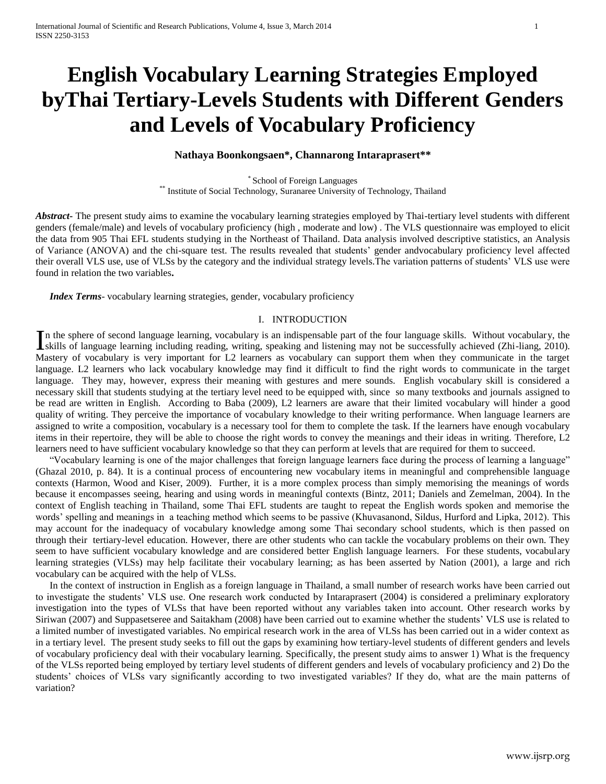# **English Vocabulary Learning Strategies Employed byThai Tertiary-Levels Students with Different Genders and Levels of Vocabulary Proficiency**

## **Nathaya Boonkongsaen\*, Channarong Intaraprasert\*\***

\* School of Foreign Languages \*\* Institute of Social Technology, Suranaree University of Technology, Thailand

*Abstract***-** The present study aims to examine the vocabulary learning strategies employed by Thai-tertiary level students with different genders (female/male) and levels of vocabulary proficiency (high , moderate and low) . The VLS questionnaire was employed to elicit the data from 905 Thai EFL students studying in the Northeast of Thailand. Data analysis involved descriptive statistics, an Analysis of Variance (ANOVA) and the chi-square test. The results revealed that students" gender andvocabulary proficiency level affected their overall VLS use, use of VLSs by the category and the individual strategy levels.The variation patterns of students" VLS use were found in relation the two variables**.**

*Index Terms*- vocabulary learning strategies, gender, vocabulary proficiency

#### I. INTRODUCTION

n the sphere of second language learning, vocabulary is an indispensable part of the four language skills. Without vocabulary, the In the sphere of second language learning, vocabulary is an indispensable part of the four language skills. Without vocabulary, the skills of language learning including reading, writing, speaking and listening may not be Mastery of vocabulary is very important for L2 learners as vocabulary can support them when they communicate in the target language. L2 learners who lack vocabulary knowledge may find it difficult to find the right words to communicate in the target language. They may, however, express their meaning with gestures and mere sounds. English vocabulary skill is considered a necessary skill that students studying at the tertiary level need to be equipped with, since so many textbooks and journals assigned to be read are written in English. According to Baba (2009), L2 learners are aware that their limited vocabulary will hinder a good quality of writing. They perceive the importance of vocabulary knowledge to their writing performance. When language learners are assigned to write a composition, vocabulary is a necessary tool for them to complete the task. If the learners have enough vocabulary items in their repertoire, they will be able to choose the right words to convey the meanings and their ideas in writing. Therefore, L2 learners need to have sufficient vocabulary knowledge so that they can perform at levels that are required for them to succeed.

"Vocabulary learning is one of the major challenges that foreign language learners face during the process of learning a language" (Ghazal 2010, p. 84). It is a continual process of encountering new vocabulary items in meaningful and comprehensible language contexts (Harmon, Wood and Kiser, 2009). Further, it is a more complex process than simply memorising the meanings of words because it encompasses seeing, hearing and using words in meaningful contexts (Bintz, 2011; Daniels and Zemelman, 2004). In the context of English teaching in Thailand, some Thai EFL students are taught to repeat the English words spoken and memorise the words" spelling and meanings in a teaching method which seems to be passive (Khuvasanond, Sildus, Hurford and Lipka, 2012). This may account for the inadequacy of vocabulary knowledge among some Thai secondary school students, which is then passed on through their tertiary-level education. However, there are other students who can tackle the vocabulary problems on their own. They seem to have sufficient vocabulary knowledge and are considered better English language learners. For these students, vocabulary learning strategies (VLSs) may help facilitate their vocabulary learning; as has been asserted by Nation (2001), a large and rich vocabulary can be acquired with the help of VLSs.

In the context of instruction in English as a foreign language in Thailand, a small number of research works have been carried out to investigate the students" VLS use. One research work conducted by Intaraprasert (2004) is considered a preliminary exploratory investigation into the types of VLSs that have been reported without any variables taken into account. Other research works by Siriwan (2007) and Suppasetseree and Saitakham (2008) have been carried out to examine whether the students" VLS use is related to a limited number of investigated variables. No empirical research work in the area of VLSs has been carried out in a wider context as in a tertiary level. The present study seeks to fill out the gaps by examining how tertiary-level students of different genders and levels of vocabulary proficiency deal with their vocabulary learning. Specifically, the present study aims to answer 1) What is the frequency of the VLSs reported being employed by tertiary level students of different genders and levels of vocabulary proficiency and 2) Do the students' choices of VLSs vary significantly according to two investigated variables? If they do, what are the main patterns of variation?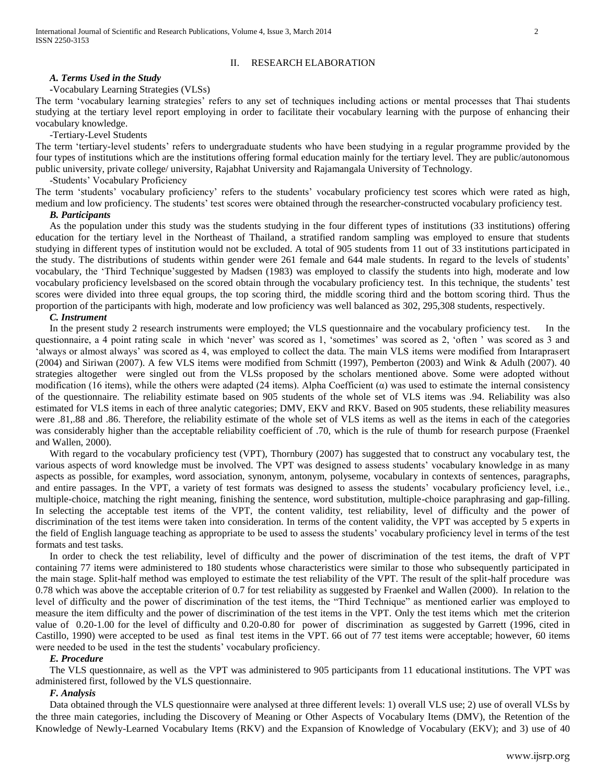#### II. RESEARCH ELABORATION

## *A. Terms Used in the Study*

#### **-**Vocabulary Learning Strategies (VLSs)

The term "vocabulary learning strategies" refers to any set of techniques including actions or mental processes that Thai students studying at the tertiary level report employing in order to facilitate their vocabulary learning with the purpose of enhancing their vocabulary knowledge.

#### -Tertiary-Level Students

The term "tertiary-level students" refers to undergraduate students who have been studying in a regular programme provided by the four types of institutions which are the institutions offering formal education mainly for the tertiary level. They are public/autonomous public university, private college/ university, Rajabhat University and Rajamangala University of Technology.

#### -Students" Vocabulary Proficiency

The term "students" vocabulary proficiency" refers to the students" vocabulary proficiency test scores which were rated as high, medium and low proficiency. The students" test scores were obtained through the researcher-constructed vocabulary proficiency test.

## *B. Participants*

As the population under this study was the students studying in the four different types of institutions (33 institutions) offering education for the tertiary level in the Northeast of Thailand, a stratified random sampling was employed to ensure that students studying in different types of institution would not be excluded. A total of 905 students from 11 out of 33 institutions participated in the study. The distributions of students within gender were 261 female and 644 male students. In regard to the levels of students' vocabulary, the 'Third Technique'suggested by Madsen (1983) was employed to classify the students into high, moderate and low vocabulary proficiency levelsbased on the scored obtain through the vocabulary proficiency test. In this technique, the students" test scores were divided into three equal groups, the top scoring third, the middle scoring third and the bottom scoring third. Thus the proportion of the participants with high, moderate and low proficiency was well balanced as 302, 295,308 students, respectively.

#### *C. Instrument*

In the present study 2 research instruments were employed; the VLS questionnaire and the vocabulary proficiency test. In the questionnaire, a 4 point rating scale in which "never" was scored as 1, "sometimes" was scored as 2, "often " was scored as 3 and "always or almost always" was scored as 4, was employed to collect the data. The main VLS items were modified from Intaraprasert (2004) and Siriwan (2007). A few VLS items were modified from Schmitt (1997), Pemberton (2003) and Wink & Adulh (2007). 40 strategies altogether were singled out from the VLSs proposed by the scholars mentioned above. Some were adopted without modification (16 items), while the others were adapted (24 items). Alpha Coefficient  $(\alpha)$  was used to estimate the internal consistency of the questionnaire. The reliability estimate based on 905 students of the whole set of VLS items was .94. Reliability was also estimated for VLS items in each of three analytic categories; DMV, EKV and RKV. Based on 905 students, these reliability measures were .81,.88 and .86. Therefore, the reliability estimate of the whole set of VLS items as well as the items in each of the categories was considerably higher than the acceptable reliability coefficient of .70, which is the rule of thumb for research purpose (Fraenkel and Wallen, 2000).

With regard to the vocabulary proficiency test (VPT), Thornbury (2007) has suggested that to construct any vocabulary test, the various aspects of word knowledge must be involved. The VPT was designed to assess students' vocabulary knowledge in as many aspects as possible, for examples, word association, synonym, antonym, polyseme, vocabulary in contexts of sentences, paragraphs, and entire passages. In the VPT, a variety of test formats was designed to assess the students" vocabulary proficiency level, i.e., multiple-choice, matching the right meaning, finishing the sentence, word substitution, multiple-choice paraphrasing and gap-filling. In selecting the acceptable test items of the VPT, the content validity, test reliability, level of difficulty and the power of discrimination of the test items were taken into consideration. In terms of the content validity, the VPT was accepted by 5 experts in the field of English language teaching as appropriate to be used to assess the students" vocabulary proficiency level in terms of the test formats and test tasks.

In order to check the test reliability, level of difficulty and the power of discrimination of the test items, the draft of VPT containing 77 items were administered to 180 students whose characteristics were similar to those who subsequently participated in the main stage. Split-half method was employed to estimate the test reliability of the VPT. The result of the split-half procedure was 0.78 which was above the acceptable criterion of 0.7 for test reliability as suggested by Fraenkel and Wallen (2000). In relation to the level of difficulty and the power of discrimination of the test items, the "Third Technique" as mentioned earlier was employed to measure the item difficulty and the power of discrimination of the test items in the VPT. Only the test items which met the criterion value of 0.20-1.00 for the level of difficulty and 0.20-0.80 for power of discrimination as suggested by Garrett (1996, cited in Castillo, 1990) were accepted to be used as final test items in the VPT. 66 out of 77 test items were acceptable; however, 60 items were needed to be used in the test the students' vocabulary proficiency.

#### *E. Procedure*

The VLS questionnaire, as well as the VPT was administered to 905 participants from 11 educational institutions. The VPT was administered first, followed by the VLS questionnaire.

## *F. Analysis*

Data obtained through the VLS questionnaire were analysed at three different levels: 1) overall VLS use; 2) use of overall VLSs by the three main categories, including the Discovery of Meaning or Other Aspects of Vocabulary Items (DMV), the Retention of the Knowledge of Newly-Learned Vocabulary Items (RKV) and the Expansion of Knowledge of Vocabulary (EKV); and 3) use of 40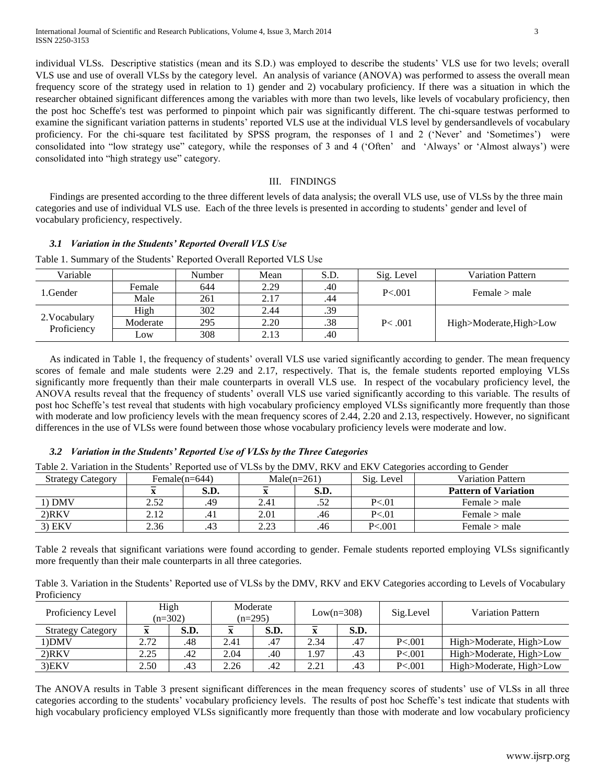individual VLSs. Descriptive statistics (mean and its S.D.) was employed to describe the students" VLS use for two levels; overall VLS use and use of overall VLSs by the category level. An analysis of variance (ANOVA) was performed to assess the overall mean frequency score of the strategy used in relation to 1) gender and 2) vocabulary proficiency. If there was a situation in which the researcher obtained significant differences among the variables with more than two levels, like levels of vocabulary proficiency, then the post hoc Scheffe's test was performed to pinpoint which pair was significantly different. The chi-square testwas performed to examine the significant variation patterns in students" reported VLS use at the individual VLS level by gendersandlevels of vocabulary proficiency. For the chi-square test facilitated by SPSS program, the responses of 1 and 2 ('Never' and 'Sometimes') were consolidated into "low strategy use" category, while the responses of 3 and 4 ("Often" and "Always" or "Almost always") were consolidated into "high strategy use" category.

## III. FINDINGS

Findings are presented according to the three different levels of data analysis; the overall VLS use, use of VLSs by the three main categories and use of individual VLS use. Each of the three levels is presented in according to students" gender and level of vocabulary proficiency, respectively.

## *3.1 Variation in the Students' Reported Overall VLS Use*

| Variable                     |          | Number | Mean | S.D. | Sig. Level | <b>Variation Pattern</b> |  |
|------------------------------|----------|--------|------|------|------------|--------------------------|--|
| 1.Gender                     | Female   | 644    | 2.29 | .40  | P < 0.01   | Female > male            |  |
|                              | Male     | 261    | 2.17 | .44  |            |                          |  |
| 2. Vocabulary<br>Proficiency | High     | 302    | 2.44 | .39  |            | High>Moderate, High>Low  |  |
|                              | Moderate | 295    | 2.20 | .38  | P < .001   |                          |  |
|                              | Low      | 308    | 2.13 | .40  |            |                          |  |

Table 1. Summary of the Students" Reported Overall Reported VLS Use

As indicated in Table 1, the frequency of students' overall VLS use varied significantly according to gender. The mean frequency scores of female and male students were 2.29 and 2.17, respectively. That is, the female students reported employing VLSs significantly more frequently than their male counterparts in overall VLS use. In respect of the vocabulary proficiency level, the ANOVA results reveal that the frequency of students" overall VLS use varied significantly according to this variable. The results of post hoc Scheffe"s test reveal that students with high vocabulary proficiency employed VLSs significantly more frequently than those with moderate and low proficiency levels with the mean frequency scores of 2.44, 2.20 and 2.13, respectively. However, no significant differences in the use of VLSs were found between those whose vocabulary proficiency levels were moderate and low.

## *3.2 Variation in the Students' Reported Use of VLSs by the Three Categories*

Table 2. Variation in the Students" Reported use of VLSs by the DMV, RKV and EKV Categories according to Gender

| <b>Strategy Category</b> | Female(n=644) |      | Male $(n=261)$ |      | Sig. Level | <b>Variation Pattern</b>    |
|--------------------------|---------------|------|----------------|------|------------|-----------------------------|
|                          |               | S.D. |                | S.D. |            | <b>Pattern of Variation</b> |
| $1)$ DMV                 | 2.52          | .49  | 2.41           | .52  | P < 01     | Female $>$ male             |
| $2)$ RKV                 | 2.12          |      | 2.01           | .46  | P < 01     | Female > male               |
| $3)$ EKV                 | 2.36          | .43  | 2.23           | .46  | P < 001    | Female > male               |

Table 2 reveals that significant variations were found according to gender. Female students reported employing VLSs significantly more frequently than their male counterparts in all three categories.

Table 3. Variation in the Students" Reported use of VLSs by the DMV, RKV and EKV Categories according to Levels of Vocabulary **Proficiency** 

| Proficiency Level        | High<br>$(n=302)$ |         | Moderate<br>$(n=295)$ |      | $Low(n=308)$ |      | Sig.Level | <b>Variation Pattern</b> |  |
|--------------------------|-------------------|---------|-----------------------|------|--------------|------|-----------|--------------------------|--|
| <b>Strategy Category</b> |                   | S.D.    |                       | S.D. |              | S.D. |           |                          |  |
| 1)DMV                    | 2.72              | .48     | 2.41                  | .47  | 2.34         | .47  | P < 001   | High>Moderate, High>Low  |  |
| $2)$ RKV                 | 2.25              | $.42\,$ | 2.04                  | .40  | .97          | .43  | P < 0.001 | High>Moderate, High>Low  |  |
| $3$ ) $EKV$              | 2.50              | .43     | 2.26                  | .42  | 2.21         | .43  | P < 001   | High>Moderate, High>Low  |  |

The ANOVA results in Table 3 present significant differences in the mean frequency scores of students" use of VLSs in all three categories according to the students" vocabulary proficiency levels. The results of post hoc Scheffe"s test indicate that students with high vocabulary proficiency employed VLSs significantly more frequently than those with moderate and low vocabulary proficiency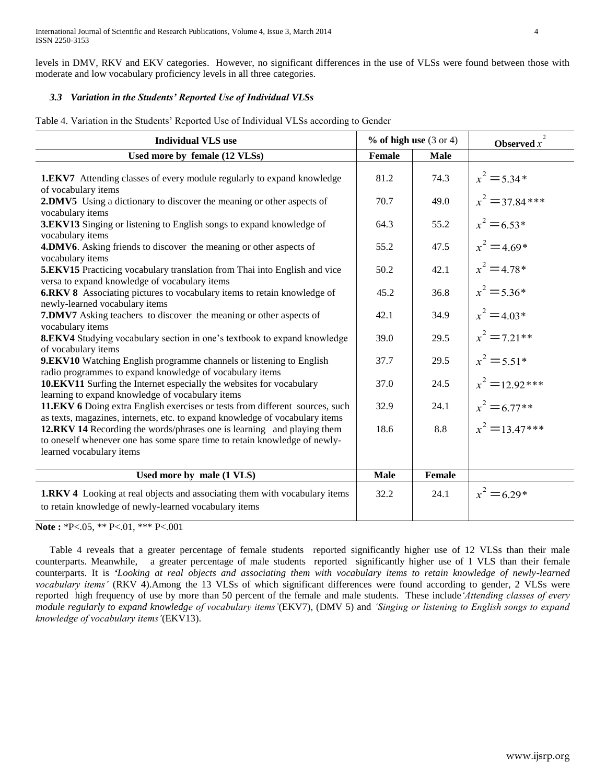levels in DMV, RKV and EKV categories. However, no significant differences in the use of VLSs were found between those with moderate and low vocabulary proficiency levels in all three categories.

# *3.3 Variation in the Students' Reported Use of Individual VLSs*

Table 4. Variation in the Students" Reported Use of Individual VLSs according to Gender

| <b>Individual VLS use</b>                                                                                                                                                       |             | $%$ of high use (3 or 4) | Observed $x$      |
|---------------------------------------------------------------------------------------------------------------------------------------------------------------------------------|-------------|--------------------------|-------------------|
| Used more by female (12 VLSs)                                                                                                                                                   | Female      | <b>Male</b>              |                   |
| <b>1.EKV7</b> Attending classes of every module regularly to expand knowledge<br>of vocabulary items                                                                            | 81.2        | 74.3                     | $x^2 = 5.34*$     |
| 2.DMV5 Using a dictionary to discover the meaning or other aspects of<br>vocabulary items                                                                                       | 70.7        | 49.0                     | $x^2 = 37.84$ *** |
| <b>3.EKV13</b> Singing or listening to English songs to expand knowledge of<br>vocabulary items                                                                                 | 64.3        | 55.2                     | $x^2 = 6.53*$     |
| 4.DMV6. Asking friends to discover the meaning or other aspects of<br>vocabulary items                                                                                          | 55.2        | 47.5                     | $x^2 = 4.69*$     |
| <b>5.EKV15</b> Practicing vocabulary translation from Thai into English and vice<br>versa to expand knowledge of vocabulary items                                               | 50.2        | 42.1                     | $x^2 = 4.78*$     |
| 6.RKV 8 Associating pictures to vocabulary items to retain knowledge of<br>newly-learned vocabulary items                                                                       | 45.2        | 36.8                     | $x^2 = 5.36*$     |
| 7.DMV7 Asking teachers to discover the meaning or other aspects of<br>vocabulary items                                                                                          | 42.1        | 34.9                     | $x^2 = 4.03*$     |
| 8.EKV4 Studying vocabulary section in one's textbook to expand knowledge<br>of vocabulary items                                                                                 | 39.0        | 29.5                     | $x^2 = 7.21**$    |
| <b>9.EKV10</b> Watching English programme channels or listening to English<br>radio programmes to expand knowledge of vocabulary items                                          | 37.7        | 29.5                     | $x^2 = 5.51*$     |
| 10.EKV11 Surfing the Internet especially the websites for vocabulary<br>learning to expand knowledge of vocabulary items                                                        | 37.0        | 24.5                     | $x^2 = 12.92$ *** |
| 11.EKV 6 Doing extra English exercises or tests from different sources, such<br>as texts, magazines, internets, etc. to expand knowledge of vocabulary items                    | 32.9        | 24.1                     | $x^2 = 6.77**$    |
| 12.RKV 14 Recording the words/phrases one is learning and playing them<br>to oneself whenever one has some spare time to retain knowledge of newly-<br>learned vocabulary items | 18.6        | 8.8                      | $x^2 = 13.47***$  |
|                                                                                                                                                                                 |             |                          |                   |
| Used more by male (1 VLS)                                                                                                                                                       | <b>Male</b> | <b>Female</b>            |                   |
| <b>1.RKV 4</b> Looking at real objects and associating them with vocabulary items<br>to retain knowledge of newly-learned vocabulary items                                      | 32.2        | 24.1                     | $x^2 = 6.29*$     |

## **Note :** \*P<.05, \*\* P<.01, \*\*\* P<.001

Table 4 reveals that a greater percentage of female students reported significantly higher use of 12 VLSs than their male counterparts. Meanwhile, a greater percentage of male students reported significantly higher use of 1 VLS than their female counterparts. It is *'Looking at real objects and associating them with vocabulary items to retain knowledge of newly-learned vocabulary items'* (RKV 4).Among the 13 VLSs of which significant differences were found according to gender, 2 VLSs were reported high frequency of use by more than 50 percent of the female and male students. These include*'Attending classes of every module regularly to expand knowledge of vocabulary items'*(EKV7), (DMV 5) and *'Singing or listening to English songs to expand knowledge of vocabulary items'*(EKV13).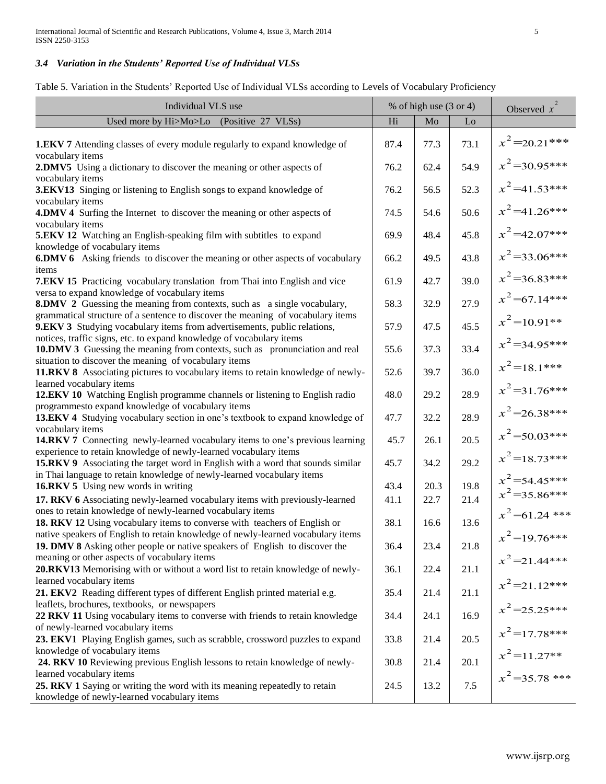# *3.4 Variation in the Students' Reported Use of Individual VLSs*

Table 5. Variation in the Students" Reported Use of Individual VLSs according to Levels of Vocabulary Proficiency

| Individual VLS use                                                                                                                                                                                                  |      | % of high use $(3$ or 4) | $\overline{2}$<br>Observed $x$ |                                    |
|---------------------------------------------------------------------------------------------------------------------------------------------------------------------------------------------------------------------|------|--------------------------|--------------------------------|------------------------------------|
| Used more by Hi>Mo>Lo<br>(Positive 27 VLSs)                                                                                                                                                                         | Hi   | Mo                       | Lo                             |                                    |
| <b>1.EKV 7</b> Attending classes of every module regularly to expand knowledge of                                                                                                                                   | 87.4 | 77.3                     | 73.1                           | $x^2$ =20.21***                    |
| vocabulary items<br>2.DMV5 Using a dictionary to discover the meaning or other aspects of                                                                                                                           | 76.2 | 62.4                     | 54.9                           | $x^2$ =30.95***                    |
| vocabulary items<br>3.EKV13 Singing or listening to English songs to expand knowledge of                                                                                                                            | 76.2 | 56.5                     | 52.3                           | $x^2$ =41.53***                    |
| vocabulary items<br>4.DMV 4 Surfing the Internet to discover the meaning or other aspects of                                                                                                                        | 74.5 | 54.6                     | 50.6                           | $x^2$ =41.26***                    |
| vocabulary items<br><b>5.EKV 12</b> Watching an English-speaking film with subtitles to expand                                                                                                                      | 69.9 | 48.4                     | 45.8                           | $x^2$ =42.07***                    |
| knowledge of vocabulary items<br><b>6.DMV 6</b> Asking friends to discover the meaning or other aspects of vocabulary                                                                                               | 66.2 | 49.5                     | 43.8                           | $x^2$ =33.06***                    |
| items<br>7.EKV 15 Practicing vocabulary translation from Thai into English and vice                                                                                                                                 | 61.9 | 42.7                     | 39.0                           | $x^2$ =36.83***                    |
| versa to expand knowledge of vocabulary items<br><b>8.DMV 2</b> Guessing the meaning from contexts, such as a single vocabulary,                                                                                    | 58.3 | 32.9                     | 27.9                           | $x^2$ =67.14***                    |
| grammatical structure of a sentence to discover the meaning of vocabulary items<br><b>9.EKV 3</b> Studying vocabulary items from advertisements, public relations,                                                  | 57.9 | 47.5                     | 45.5                           | $x^2$ =10.91**                     |
| notices, traffic signs, etc. to expand knowledge of vocabulary items<br><b>10.DMV 3</b> Guessing the meaning from contexts, such as pronunciation and real<br>situation to discover the meaning of vocabulary items | 55.6 | 37.3                     | 33.4                           | $x^2$ =34.95***                    |
| 11.RKV 8 Associating pictures to vocabulary items to retain knowledge of newly-<br>learned vocabulary items                                                                                                         | 52.6 | 39.7                     | 36.0                           | $x^2$ =18.1***                     |
| 12.EKV 10 Watching English programme channels or listening to English radio                                                                                                                                         | 48.0 | 29.2                     | 28.9                           | $x^2$ =31.76***                    |
| programmesto expand knowledge of vocabulary items<br>13.EKV 4 Studying vocabulary section in one's textbook to expand knowledge of                                                                                  | 47.7 | 32.2                     | 28.9                           | $x^2$ =26.38***                    |
| vocabulary items<br>14.RKV 7 Connecting newly-learned vocabulary items to one's previous learning                                                                                                                   | 45.7 | 26.1                     | 20.5                           | $x^2$ =50.03***                    |
| experience to retain knowledge of newly-learned vocabulary items<br><b>15.RKV 9</b> Associating the target word in English with a word that sounds similar                                                          | 45.7 | 34.2                     | 29.2                           | $x^2$ =18.73***                    |
| in Thai language to retain knowledge of newly-learned vocabulary items<br>16.RKV 5 Using new words in writing                                                                                                       | 43.4 | 20.3                     | 19.8                           | $x^2$ =54.45***<br>$x^2$ =35.86*** |
| 17. RKV 6 Associating newly-learned vocabulary items with previously-learned<br>ones to retain knowledge of newly-learned vocabulary items                                                                          | 41.1 | 22.7                     | 21.4                           | $x^2$ =61.24 ***                   |
| 18. RKV 12 Using vocabulary items to converse with teachers of English or<br>native speakers of English to retain knowledge of newly-learned vocabulary items                                                       | 38.1 | 16.6                     | 13.6                           | $x^2$ =19.76***                    |
| 19. DMV 8 Asking other people or native speakers of English to discover the<br>meaning or other aspects of vocabulary items                                                                                         | 36.4 | 23.4                     | 21.8                           | $x^2$ =21.44***                    |
| 20.RKV13 Memorising with or without a word list to retain knowledge of newly-<br>learned vocabulary items                                                                                                           | 36.1 | 22.4                     | 21.1                           | $x^2$ =21.12***                    |
| 21. EKV2 Reading different types of different English printed material e.g.<br>leaflets, brochures, textbooks, or newspapers                                                                                        | 35.4 | 21.4                     | 21.1                           |                                    |
| 22 RKV 11 Using vocabulary items to converse with friends to retain knowledge<br>of newly-learned vocabulary items                                                                                                  | 34.4 | 24.1                     | 16.9                           | $x^2$ =25.25***                    |
| 23. EKV1 Playing English games, such as scrabble, crossword puzzles to expand<br>knowledge of vocabulary items                                                                                                      | 33.8 | 21.4                     | 20.5                           | $x^2$ =17.78***                    |
| 24. RKV 10 Reviewing previous English lessons to retain knowledge of newly-<br>learned vocabulary items                                                                                                             | 30.8 | 21.4                     | 20.1                           | $x^2$ = 11.27**                    |
| 25. RKV 1 Saying or writing the word with its meaning repeatedly to retain<br>knowledge of newly-learned vocabulary items                                                                                           | 24.5 | 13.2                     | 7.5                            | $x^2$ =35.78 ***                   |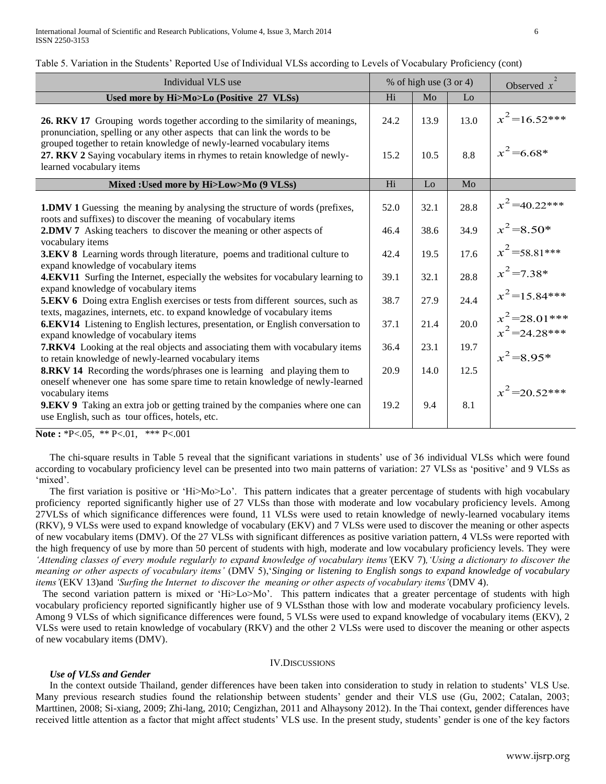Table 5. Variation in the Students" Reported Use of Individual VLSs according to Levels of Vocabulary Proficiency (cont)

| Individual VLS use                                                                                                                                                                                   |      | % of high use $(3 \text{ or } 4)$ | Observed $x$ |                                    |
|------------------------------------------------------------------------------------------------------------------------------------------------------------------------------------------------------|------|-----------------------------------|--------------|------------------------------------|
| Used more by Hi>Mo>Lo (Positive 27 VLSs)                                                                                                                                                             | Hi   | Mo                                | Lo           |                                    |
| 26. RKV 17 Grouping words together according to the similarity of meanings,<br>pronunciation, spelling or any other aspects that can link the words to be                                            | 24.2 | 13.9                              | 13.0         | $x^2$ =16.52***                    |
| grouped together to retain knowledge of newly-learned vocabulary items<br>27. RKV 2 Saying vocabulary items in rhymes to retain knowledge of newly-<br>learned vocabulary items                      | 15.2 | 10.5                              | 8.8          | $x^2$ =6.68*                       |
| Mixed : Used more by Hi>Low>Mo (9 VLSs)                                                                                                                                                              | Hi   | Lo                                | Mo           |                                    |
| <b>1.DMV 1</b> Guessing the meaning by analysing the structure of words (prefixes,<br>roots and suffixes) to discover the meaning of vocabulary items                                                | 52.0 | 32.1                              | 28.8         | $x^2$ =40.22***                    |
| 2.DMV 7 Asking teachers to discover the meaning or other aspects of<br>vocabulary items                                                                                                              | 46.4 | 38.6                              | 34.9         | $x^2 = 8.50*$                      |
| <b>3.EKV 8</b> Learning words through literature, poems and traditional culture to<br>expand knowledge of vocabulary items                                                                           | 42.4 | 19.5                              | 17.6         | $x^2$ =58.81***                    |
| <b>4.EKV11</b> Surfing the Internet, especially the websites for vocabulary learning to                                                                                                              | 39.1 | 32.1                              | 28.8         | $x^2$ = 7.38*                      |
| expand knowledge of vocabulary items<br><b>5.EKV 6</b> Doing extra English exercises or tests from different sources, such as                                                                        | 38.7 | 27.9                              | 24.4         | $x^2$ =15.84***                    |
| texts, magazines, internets, etc. to expand knowledge of vocabulary items<br>6.EKV14 Listening to English lectures, presentation, or English conversation to<br>expand knowledge of vocabulary items | 37.1 | 21.4                              | 20.0         | $x^2$ =28.01***<br>$x^2$ =24.28*** |
| <b>7.RKV4</b> Looking at the real objects and associating them with vocabulary items<br>to retain knowledge of newly-learned vocabulary items                                                        | 36.4 | 23.1                              | 19.7         | $x^2 = 8.95*$                      |
| <b>8.RKV 14</b> Recording the words/phrases one is learning and playing them to<br>oneself whenever one has some spare time to retain knowledge of newly-learned                                     | 20.9 | 14.0                              | 12.5         | $x^2$ =20.52***                    |
| vocabulary items<br><b>9.EKV 9</b> Taking an extra job or getting trained by the companies where one can<br>use English, such as tour offices, hotels, etc.                                          | 19.2 | 9.4                               | 8.1          |                                    |

**Note :** \*P<.05, \*\* P<.01, \*\*\* P<.001

The chi-square results in Table 5 reveal that the significant variations in students" use of 36 individual VLSs which were found according to vocabulary proficiency level can be presented into two main patterns of variation: 27 VLSs as 'positive' and 9 VLSs as 'mixed'.

The first variation is positive or 'Hi>Mo>Lo'. This pattern indicates that a greater percentage of students with high vocabulary proficiency reported significantly higher use of 27 VLSs than those with moderate and low vocabulary proficiency levels. Among 27VLSs of which significance differences were found, 11 VLSs were used to retain knowledge of newly-learned vocabulary items (RKV), 9 VLSs were used to expand knowledge of vocabulary (EKV) and 7 VLSs were used to discover the meaning or other aspects of new vocabulary items (DMV). Of the 27 VLSs with significant differences as positive variation pattern, 4 VLSs were reported with the high frequency of use by more than 50 percent of students with high, moderate and low vocabulary proficiency levels. They were *'Attending classes of every module regularly to expand knowledge of vocabulary items'*(EKV 7)*,'Using a dictionary to discover the meaning or other aspects of vocabulary items'* (DMV 5),"*Singing or listening to English songs to expand knowledge of vocabulary items'*(EKV 13)and *'Surfing the Internet to discover the meaning or other aspects of vocabulary items'*(DMV 4).

The second variation pattern is mixed or 'Hi $>$ Lo $>$ Mo'. This pattern indicates that a greater percentage of students with high vocabulary proficiency reported significantly higher use of 9 VLSsthan those with low and moderate vocabulary proficiency levels. Among 9 VLSs of which significance differences were found, 5 VLSs were used to expand knowledge of vocabulary items (EKV), 2 VLSs were used to retain knowledge of vocabulary (RKV) and the other 2 VLSs were used to discover the meaning or other aspects of new vocabulary items (DMV).

#### IV.DISCUSSIONS

#### *Use of VLSs and Gender*

In the context outside Thailand, gender differences have been taken into consideration to study in relation to students" VLS Use. Many previous research studies found the relationship between students" gender and their VLS use (Gu, 2002; Catalan, 2003; Marttinen, 2008; Si-xiang, 2009; Zhi-lang, 2010; Cengizhan, 2011 and Alhaysony 2012). In the Thai context, gender differences have received little attention as a factor that might affect students" VLS use. In the present study, students" gender is one of the key factors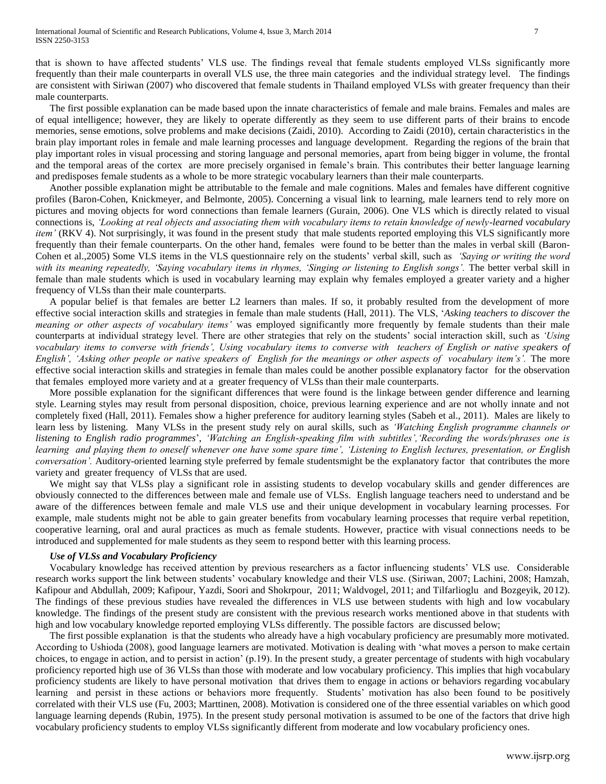that is shown to have affected students" VLS use. The findings reveal that female students employed VLSs significantly more frequently than their male counterparts in overall VLS use, the three main categories and the individual strategy level. The findings are consistent with Siriwan (2007) who discovered that female students in Thailand employed VLSs with greater frequency than their male counterparts.

The first possible explanation can be made based upon the innate characteristics of female and male brains. Females and males are of equal intelligence; however, they are likely to operate differently as they seem to use different parts of their brains to encode memories, sense emotions, solve problems and make decisions (Zaidi, 2010). According to Zaidi (2010), certain characteristics in the brain play important roles in female and male learning processes and language development. Regarding the regions of the brain that play important roles in visual processing and storing language and personal memories, apart from being bigger in volume, the frontal and the temporal areas of the cortex are more precisely organised in female"s brain. This contributes their better language learning and predisposes female students as a whole to be more strategic vocabulary learners than their male counterparts.

Another possible explanation might be attributable to the female and male cognitions. Males and females have different cognitive profiles (Baron-Cohen, Knickmeyer, and Belmonte, 2005). Concerning a visual link to learning, male learners tend to rely more on pictures and moving objects for word connections than female learners (Gurain, 2006). One VLS which is directly related to visual connections is, *'Looking at real objects and associating them with vocabulary items to retain knowledge of newly-learned vocabulary item'* (RKV 4). Not surprisingly, it was found in the present study that male students reported employing this VLS significantly more frequently than their female counterparts. On the other hand, females were found to be better than the males in verbal skill (Baron-Cohen et al.,2005) Some VLS items in the VLS questionnaire rely on the students" verbal skill, such as *'Saying or writing the word with its meaning repeatedly, 'Saying vocabulary items in rhymes, 'Singing or listening to English songs'.* The better verbal skill in female than male students which is used in vocabulary learning may explain why females employed a greater variety and a higher frequency of VLSs than their male counterparts.

A popular belief is that females are better L2 learners than males. If so, it probably resulted from the development of more effective social interaction skills and strategies in female than male students (Hall, 2011)*.* The VLS, "*Asking teachers to discover the meaning or other aspects of vocabulary items'* was employed significantly more frequently by female students than their male counterparts at individual strategy level. There are other strategies that rely on the students" social interaction skill, such as *'Using vocabulary items to converse with friends', Using vocabulary items to converse with teachers of English or native speakers of English', 'Asking other people or native speakers of English for the meanings or other aspects of vocabulary item's'.* The more effective social interaction skills and strategies in female than males could be another possible explanatory factor for the observation that females employed more variety and at a greater frequency of VLSs than their male counterparts.

More possible explanation for the significant differences that were found is the linkage between gender difference and learning style. Learning styles may result from personal disposition, choice, previous learning experience and are not wholly innate and not completely fixed (Hall, 2011). Females show a higher preference for auditory learning styles (Sabeh et al., 2011). Males are likely to learn less by listening. Many VLSs in the present study rely on aural skills, such as *'Watching English programme channels or listening to English radio programmes*", *'Watching an English-speaking film with subtitles','Recording the words/phrases one is learning and playing them to oneself whenever one have some spare time', 'Listening to English lectures, presentation, or English conversation'.* Auditory-oriented learning style preferred by female studentsmight be the explanatory factor that contributes the more variety and greater frequency of VLSs that are used.

We might say that VLSs play a significant role in assisting students to develop vocabulary skills and gender differences are obviously connected to the differences between male and female use of VLSs. English language teachers need to understand and be aware of the differences between female and male VLS use and their unique development in vocabulary learning processes. For example, male students might not be able to gain greater benefits from vocabulary learning processes that require verbal repetition, cooperative learning, oral and aural practices as much as female students. However, practice with visual connections needs to be introduced and supplemented for male students as they seem to respond better with this learning process.

## *Use of VLSs and Vocabulary Proficiency*

Vocabulary knowledge has received attention by previous researchers as a factor influencing students" VLS use. Considerable research works support the link between students" vocabulary knowledge and their VLS use. (Siriwan, 2007; Lachini, 2008; Hamzah, Kafipour and Abdullah, 2009; Kafipour, Yazdi, Soori and Shokrpour, 2011; Waldvogel, 2011; and Tilfarlioglu and Bozgeyik, 2012). The findings of these previous studies have revealed the differences in VLS use between students with high and low vocabulary knowledge. The findings of the present study are consistent with the previous research works mentioned above in that students with high and low vocabulary knowledge reported employing VLSs differently. The possible factors are discussed below;

The first possible explanation is that the students who already have a high vocabulary proficiency are presumably more motivated. According to Ushioda (2008), good language learners are motivated. Motivation is dealing with "what moves a person to make certain choices, to engage in action, and to persist in action" (p.19). In the present study, a greater percentage of students with high vocabulary proficiency reported high use of 36 VLSs than those with moderate and low vocabulary proficiency. This implies that high vocabulary proficiency students are likely to have personal motivation that drives them to engage in actions or behaviors regarding vocabulary learning and persist in these actions or behaviors more frequently. Students" motivation has also been found to be positively correlated with their VLS use (Fu, 2003; Marttinen, 2008). Motivation is considered one of the three essential variables on which good language learning depends (Rubin, 1975). In the present study personal motivation is assumed to be one of the factors that drive high vocabulary proficiency students to employ VLSs significantly different from moderate and low vocabulary proficiency ones.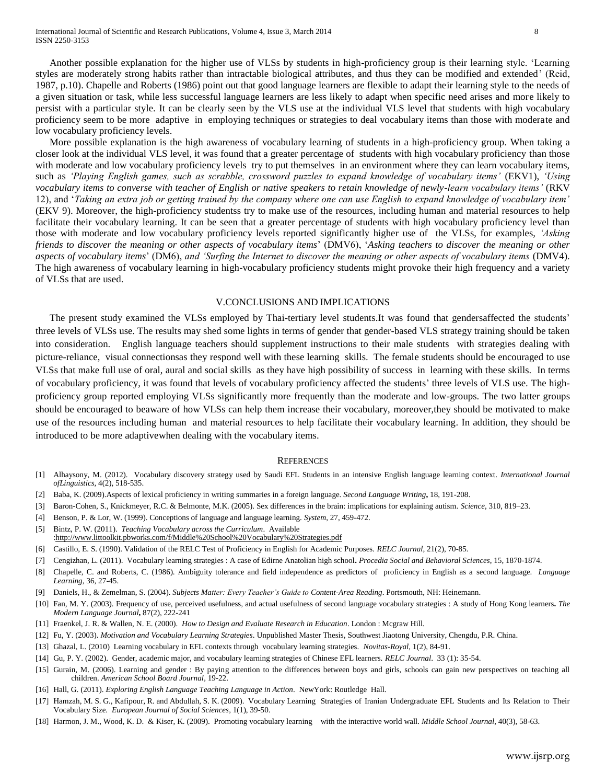Another possible explanation for the higher use of VLSs by students in high-proficiency group is their learning style. "Learning styles are moderately strong habits rather than intractable biological attributes, and thus they can be modified and extended" (Reid, 1987, p.10). Chapelle and Roberts (1986) point out that good language learners are flexible to adapt their learning style to the needs of a given situation or task, while less successful language learners are less likely to adapt when specific need arises and more likely to persist with a particular style. It can be clearly seen by the VLS use at the individual VLS level that students with high vocabulary proficiency seem to be more adaptive in employing techniques or strategies to deal vocabulary items than those with moderate and low vocabulary proficiency levels.

More possible explanation is the high awareness of vocabulary learning of students in a high-proficiency group. When taking a closer look at the individual VLS level, it was found that a greater percentage of students with high vocabulary proficiency than those with moderate and low vocabulary proficiency levels try to put themselves in an environment where they can learn vocabulary items, such as *'Playing English games, such as scrabble, crossword puzzles to expand knowledge of vocabulary items'* (EKV1), *'Using vocabulary items to converse with teacher of English or native speakers to retain knowledge of newly-learn vocabulary items'* (RKV 12), and "*Taking an extra job or getting trained by the company where one can use English to expand knowledge of vocabulary item'* (EKV 9). Moreover, the high-proficiency studentss try to make use of the resources, including human and material resources to help facilitate their vocabulary learning. It can be seen that a greater percentage of students with high vocabulary proficiency level than those with moderate and low vocabulary proficiency levels reported significantly higher use of the VLSs, for examples, *'Asking friends to discover the meaning or other aspects of vocabulary items*" (DMV6), "*Asking teachers to discover the meaning or other aspects of vocabulary items*" (DM6), *and 'Surfing the Internet to discover the meaning or other aspects of vocabulary items* (DMV4). The high awareness of vocabulary learning in high-vocabulary proficiency students might provoke their high frequency and a variety of VLSs that are used.

#### V.CONCLUSIONS AND IMPLICATIONS

The present study examined the VLSs employed by Thai-tertiary level students.It was found that gendersaffected the students' three levels of VLSs use. The results may shed some lights in terms of gender that gender-based VLS strategy training should be taken into consideration. English language teachers should supplement instructions to their male students with strategies dealing with picture-reliance, visual connectionsas they respond well with these learning skills. The female students should be encouraged to use VLSs that make full use of oral, aural and social skills as they have high possibility of success in learning with these skills. In terms of vocabulary proficiency, it was found that levels of vocabulary proficiency affected the students" three levels of VLS use. The highproficiency group reported employing VLSs significantly more frequently than the moderate and low-groups. The two latter groups should be encouraged to beaware of how VLSs can help them increase their vocabulary, moreover,they should be motivated to make use of the resources including human and material resources to help facilitate their vocabulary learning. In addition, they should be introduced to be more adaptivewhen dealing with the vocabulary items.

#### **REFERENCES**

- [1] Alhaysony, M. (2012). Vocabulary discovery strategy used by Saudi EFL Students in an intensive English language learning context. *International Journal ofLinguistics,* 4(2), 518-535.
- [2] Baba, K. (2009).Aspects of lexical proficiency in writing summaries in a foreign language. *Second Language Writing***,** 18, 191-208.
- [3] Baron-Cohen, S., Knickmeyer, R.C. & Belmonte, M.K. (2005). Sex differences in the brain: implications for explaining autism. *Science*, 310, 819–23.
- [4] Benson, P. & Lor, W. (1999). Conceptions of language and language learning. *System*, 27, 459-472.
- [5] Bintz, P. W. (2011). *Teaching Vocabulary across the Curriculum*. Available
- [:http://www.littoolkit.pbworks.com/f/Middle%20School%20Vocabulary%20Strategies.pdf](http://www.littoolkit.pbworks.com/f/Middle%20School%20Vocabulary%20Strategies.pdf)
- [6] Castillo, E. S. (1990). Validation of the RELC Test of Proficiency in English for Academic Purposes. *RELC Journal*, 21(2), 70-85.
- [7] Cengizhan, L. (2011). Vocabulary learning strategies : A case of Edirne Anatolian high school**.** *Procedia Social and Behavioral Sciences*, 15, 1870-1874.
- [8] Chapelle, C. and Roberts, C. (1986). Ambiguity tolerance and field independence as predictors of proficiency in English as a second language. *Language Learning,* 36, 27-45.
- [9] Daniels, H., & Zemelman, S. (2004). *Subjects Matter: Every Teacher's Guide to Content-Area Reading*. Portsmouth, NH: Heinemann.
- [10] Fan, M. Y. (2003). Frequency of use, perceived usefulness, and actual usefulness of second language vocabulary strategies : A study of Hong Kong learners**.** *The Modern Language Journal***,** 87(2), 222-241
- [11] Fraenkel, J. R. & Wallen, N. E. (2000). *How to Design and Evaluate Research in Education*. London : Mcgraw Hill.
- [12] Fu, Y. (2003). *Motivation and Vocabulary Learning Strategies*. Unpublished Master Thesis, Southwest Jiaotong University, Chengdu, P.R. China.
- [13] Ghazal, L. (2010) Learning vocabulary in EFL contexts through vocabulary learning strategies. *Novitas-Royal*, 1(2), 84-91.
- [14] Gu, P. Y. (2002). Gender, academic major, and vocabulary learning strategies of Chinese EFL learners. *RELC Journal*. 33 (1): 35-54.
- [15] Gurain, M. (2006). Learning and gender : By paying attention to the differences between boys and girls, schools can gain new perspectives on teaching all children. *American School Board Journal*, 19-22.
- [16] Hall, G. (2011). *Exploring English Language Teaching Language in Action*. NewYork: Routledge Hall.
- [17] Hamzah, M. S. G., Kafipour, R. and Abdullah, S. K. (2009). Vocabulary Learning Strategies of Iranian Undergraduate EFL Students and Its Relation to Their Vocabulary Size. *European Journal of Social Sciences*, 1(1), 39-50.
- [18] Harmon, J. M., Wood, K. D. & Kiser, K. (2009). Promoting vocabulary learning with the interactive world wall. *Middle School Journal*, 40(3), 58-63.